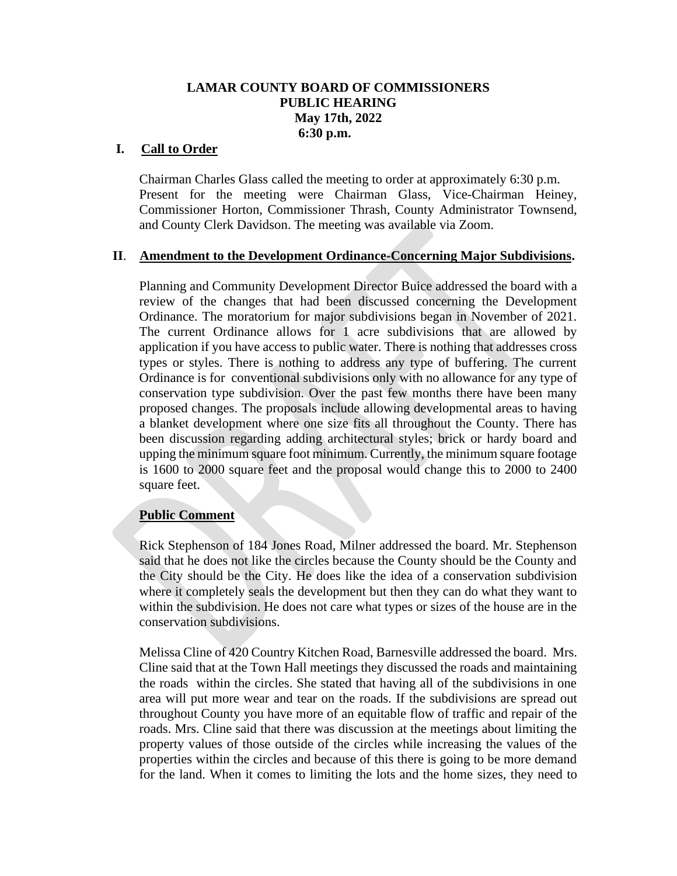### **LAMAR COUNTY BOARD OF COMMISSIONERS PUBLIC HEARING May 17th, 2022 6:30 p.m.**

#### **I. Call to Order**

Chairman Charles Glass called the meeting to order at approximately 6:30 p.m. Present for the meeting were Chairman Glass, Vice-Chairman Heiney, Commissioner Horton, Commissioner Thrash, County Administrator Townsend, and County Clerk Davidson. The meeting was available via Zoom.

#### **II**. **Amendment to the Development Ordinance-Concerning Major Subdivisions.**

Planning and Community Development Director Buice addressed the board with a review of the changes that had been discussed concerning the Development Ordinance. The moratorium for major subdivisions began in November of 2021. The current Ordinance allows for 1 acre subdivisions that are allowed by application if you have access to public water. There is nothing that addresses cross types or styles. There is nothing to address any type of buffering. The current Ordinance is for conventional subdivisions only with no allowance for any type of conservation type subdivision. Over the past few months there have been many proposed changes. The proposals include allowing developmental areas to having a blanket development where one size fits all throughout the County. There has been discussion regarding adding architectural styles; brick or hardy board and upping the minimum square foot minimum. Currently, the minimum square footage is 1600 to 2000 square feet and the proposal would change this to 2000 to 2400 square feet.

# **Public Comment**

Rick Stephenson of 184 Jones Road, Milner addressed the board. Mr. Stephenson said that he does not like the circles because the County should be the County and the City should be the City. He does like the idea of a conservation subdivision where it completely seals the development but then they can do what they want to within the subdivision. He does not care what types or sizes of the house are in the conservation subdivisions.

Melissa Cline of 420 Country Kitchen Road, Barnesville addressed the board. Mrs. Cline said that at the Town Hall meetings they discussed the roads and maintaining the roads within the circles. She stated that having all of the subdivisions in one area will put more wear and tear on the roads. If the subdivisions are spread out throughout County you have more of an equitable flow of traffic and repair of the roads. Mrs. Cline said that there was discussion at the meetings about limiting the property values of those outside of the circles while increasing the values of the properties within the circles and because of this there is going to be more demand for the land. When it comes to limiting the lots and the home sizes, they need to